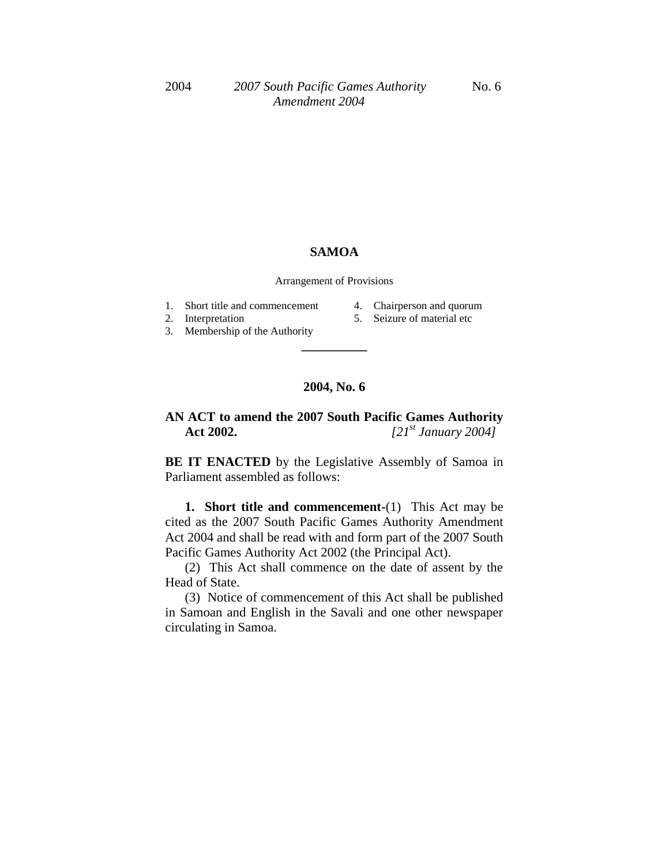## **SAMOA**

Arrangement of Provisions

- 1. Short title and commencement
- 2. Interpretation
- 4. Chairperson and quorum
- 
- 5. Seizure of material etc
- 3. Membership of the Authority

## **2004, No. 6**

**\_\_\_\_\_\_\_\_\_\_**

## **AN ACT to amend the 2007 South Pacific Games Authority Act 2002.** *[21st January 2004]*

**BE IT ENACTED** by the Legislative Assembly of Samoa in Parliament assembled as follows:

**1. Short title and commencement-**(1) This Act may be cited as the 2007 South Pacific Games Authority Amendment Act 2004 and shall be read with and form part of the 2007 South Pacific Games Authority Act 2002 (the Principal Act).

(2) This Act shall commence on the date of assent by the Head of State.

(3) Notice of commencement of this Act shall be published in Samoan and English in the Savali and one other newspaper circulating in Samoa.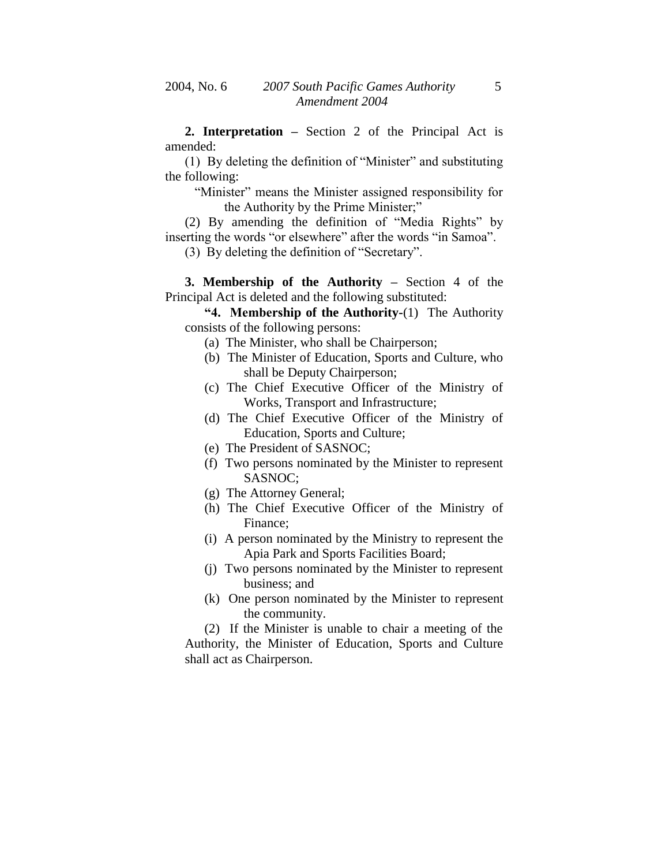**2. Interpretation –** Section 2 of the Principal Act is amended:

(1) By deleting the definition of "Minister" and substituting the following:

"Minister" means the Minister assigned responsibility for the Authority by the Prime Minister;"

(2) By amending the definition of "Media Rights" by inserting the words "or elsewhere" after the words "in Samoa".

(3) By deleting the definition of "Secretary".

**3. Membership of the Authority –** Section 4 of the Principal Act is deleted and the following substituted:

**"4. Membership of the Authority-**(1) The Authority consists of the following persons:

- (a) The Minister, who shall be Chairperson;
- (b) The Minister of Education, Sports and Culture, who shall be Deputy Chairperson;
- (c) The Chief Executive Officer of the Ministry of Works, Transport and Infrastructure;
- (d) The Chief Executive Officer of the Ministry of Education, Sports and Culture;
- (e) The President of SASNOC;
- (f) Two persons nominated by the Minister to represent SASNOC;
- (g) The Attorney General;
- (h) The Chief Executive Officer of the Ministry of Finance;
- (i) A person nominated by the Ministry to represent the Apia Park and Sports Facilities Board;
- (j) Two persons nominated by the Minister to represent business; and
- (k) One person nominated by the Minister to represent the community.

(2) If the Minister is unable to chair a meeting of the Authority, the Minister of Education, Sports and Culture shall act as Chairperson.